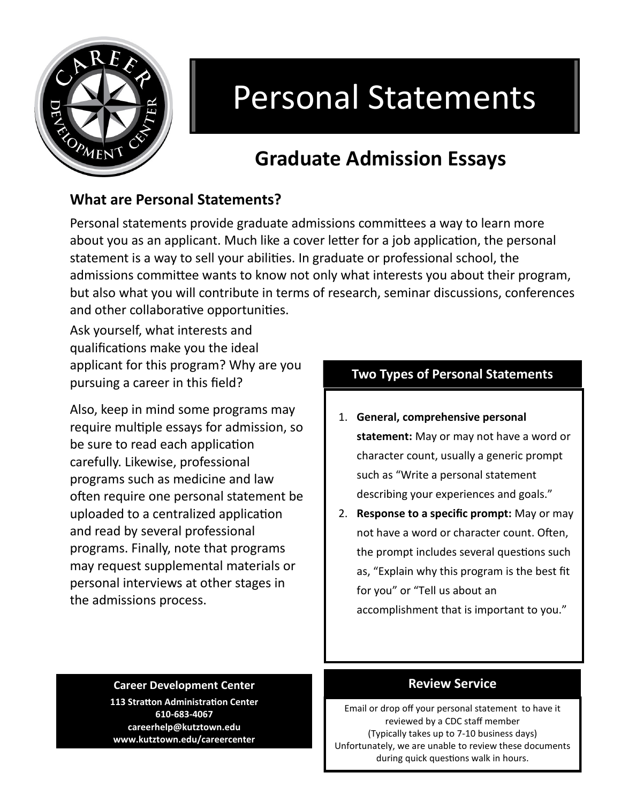

# Personal Statements

# **Graduate Admission Essays**

# **What are Personal Statements?**

Personal statements provide graduate admissions committees a way to learn more about you as an applicant. Much like a cover letter for a job application, the personal statement is a way to sell your abilities. In graduate or professional school, the admissions committee wants to know not only what interests you about their program, but also what you will contribute in terms of research, seminar discussions, conferences and other collaborative opportunities.

Ask yourself, what interests and qualifications make you the ideal applicant for this program? Why are you pursuing a career in this field?

Also, keep in mind some programs may require multiple essays for admission, so be sure to read each application carefully. Likewise, professional programs such as medicine and law often require one personal statement be uploaded to a centralized application and read by several professional programs. Finally, note that programs may request supplemental materials or personal interviews at other stages in the admissions process.

### **Two Types of Personal Statements**

- 1. **General, comprehensive personal statement:** May or may not have a word or character count, usually a generic prompt such as "Write a personal statement describing your experiences and goals."
- 2. **Response to a specific prompt:** May or may not have a word or character count. Often, the prompt includes several questions such as, "Explain why this program is the best fit for you" or "Tell us about an accomplishment that is important to you."

#### **Career Development Center**

**113 Stratton Administration Center 610-683-4067 careerhelp@kutztown.edu www.kutztown.edu/careercenter**

#### **Review Service**

Email or drop off your personal statement to have it reviewed by a CDC staff member (Typically takes up to 7-10 business days) Unfortunately, we are unable to review these documents during quick questions walk in hours.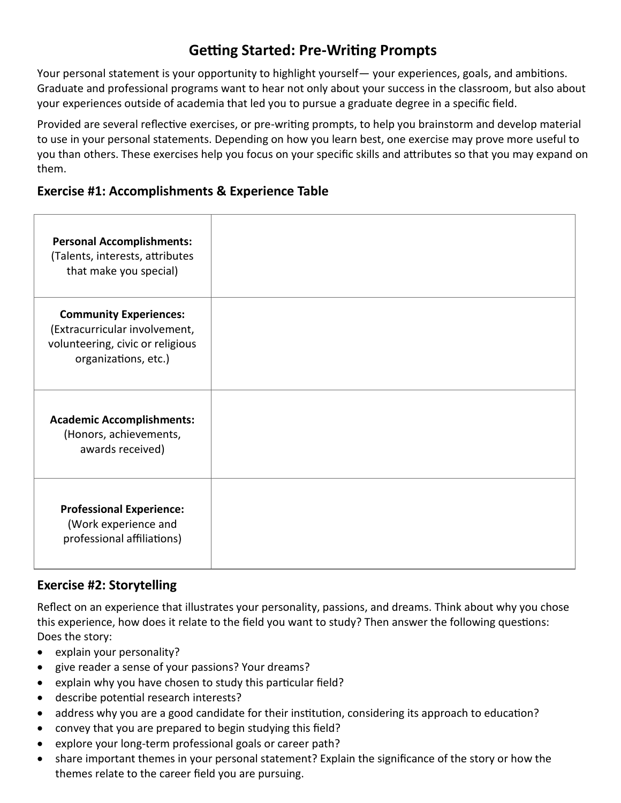# **Getting Started: Pre-Writing Prompts**

Your personal statement is your opportunity to highlight yourself— your experiences, goals, and ambitions. Graduate and professional programs want to hear not only about your success in the classroom, but also about your experiences outside of academia that led you to pursue a graduate degree in a specific field.

Provided are several reflective exercises, or pre-writing prompts, to help you brainstorm and develop material to use in your personal statements. Depending on how you learn best, one exercise may prove more useful to you than others. These exercises help you focus on your specific skills and attributes so that you may expand on them.

#### **Exercise #1: Accomplishments & Experience Table**

| <b>Personal Accomplishments:</b><br>(Talents, interests, attributes<br>that make you special)                              |  |
|----------------------------------------------------------------------------------------------------------------------------|--|
| <b>Community Experiences:</b><br>(Extracurricular involvement,<br>volunteering, civic or religious<br>organizations, etc.) |  |
| <b>Academic Accomplishments:</b><br>(Honors, achievements,<br>awards received)                                             |  |
| <b>Professional Experience:</b><br>(Work experience and<br>professional affiliations)                                      |  |

#### **Exercise #2: Storytelling**

Reflect on an experience that illustrates your personality, passions, and dreams. Think about why you chose this experience, how does it relate to the field you want to study? Then answer the following questions: Does the story:

- explain your personality?
- give reader a sense of your passions? Your dreams?
- explain why you have chosen to study this particular field?
- describe potential research interests?
- address why you are a good candidate for their institution, considering its approach to education?
- convey that you are prepared to begin studying this field?
- explore your long-term professional goals or career path?
- share important themes in your personal statement? Explain the significance of the story or how the themes relate to the career field you are pursuing.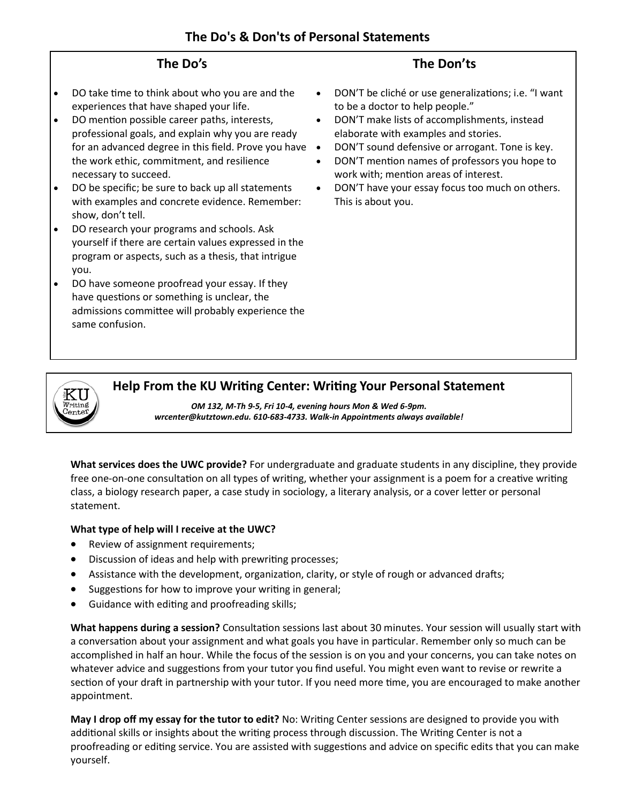#### **The Do's**

- DO take time to think about who you are and the experiences that have shaped your life.
- DO mention possible career paths, interests, professional goals, and explain why you are ready for an advanced degree in this field. Prove you have  $\bullet$ the work ethic, commitment, and resilience necessary to succeed.
- DO be specific; be sure to back up all statements with examples and concrete evidence. Remember: show, don't tell.
- DO research your programs and schools. Ask yourself if there are certain values expressed in the program or aspects, such as a thesis, that intrigue you.
- DO have someone proofread your essay. If they have questions or something is unclear, the admissions committee will probably experience the same confusion.

#### **The Don'ts**

- DON'T be cliché or use generalizations; i.e. "I want to be a doctor to help people."
- DON'T make lists of accomplishments, instead elaborate with examples and stories.
- DON'T sound defensive or arrogant. Tone is key.
- DON'T mention names of professors you hope to work with; mention areas of interest.
- DON'T have your essay focus too much on others. This is about you.



#### **Help From the KU Writing Center: Writing Your Personal Statement**

*OM 132, M-Th 9-5, Fri 10-4, evening hours Mon & Wed 6-9pm. wrcenter@kutztown.edu. 610-683-4733. Walk-in Appointments always available!*

**What services does the UWC provide?** For undergraduate and graduate students in any discipline, they provide free one-on-one consultation on all types of writing, whether your assignment is a poem for a creative writing class, a biology research paper, a case study in sociology, a literary analysis, or a cover letter or personal statement.

#### **What type of help will I receive at the UWC?**

- Review of assignment requirements;
- Discussion of ideas and help with prewriting processes;
- Assistance with the development, organization, clarity, or style of rough or advanced drafts;
- Suggestions for how to improve your writing in general;
- Guidance with editing and proofreading skills;

**What happens during a session?** Consultation sessions last about 30 minutes. Your session will usually start with a conversation about your assignment and what goals you have in particular. Remember only so much can be accomplished in half an hour. While the focus of the session is on you and your concerns, you can take notes on whatever advice and suggestions from your tutor you find useful. You might even want to revise or rewrite a section of your draft in partnership with your tutor. If you need more time, you are encouraged to make another appointment.

**May I drop off my essay for the tutor to edit?** No: Writing Center sessions are designed to provide you with additional skills or insights about the writing process through discussion. The Writing Center is not a proofreading or editing service. You are assisted with suggestions and advice on specific edits that you can make yourself.